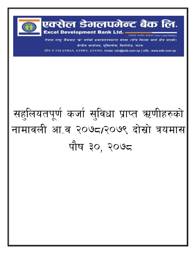

एक्सेल डेभलपमेन्ट बैंक लि. **Excel Development Bank Ltd. =** 

नेपाल राष्ट्र बैंकबाट 'ख' वर्गको इजाजतपत्रप्राप्त संस्था (पाँच जिल्ला कार्य क्षेत्र भएको) केन्द्रीय कार्यालय, मुक्तिचोक, बिर्तामोड, फापा

ग्याईको स्थानीय साफ्टेदार (Your Local Partner)

फोन नं ०२३-५४३५६४, ५४३७१४, ५४४०१०, Email: info@edb.com.np | URL: www.edb.com.np

## सहुलियतपूर्ण कर्जा सुविधा प्राप्त ऋणीहरुको नामावली आ.व २०७८/२०७९ दोस्रो त्रयमास पौष ३०, २०७८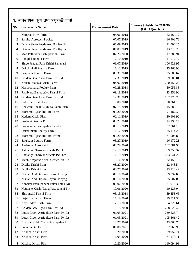|                | १. व्यवसायिक कृषि तथा पशुपन्छी कर्जा |                          |                                                           |  |
|----------------|--------------------------------------|--------------------------|-----------------------------------------------------------|--|
| <b>SN</b>      | <b>Borrower's Name</b>               | <b>Disbursement Date</b> | <b>Interest Subsidy for 2078/79</b><br>$(I & II$ Quarter) |  |
| 1              | Namrata Kiwi Firm                    | 04/06/2018               | 52,264.12                                                 |  |
| $\mathfrak{2}$ | Samira Agrotech Pvt.Ltd              | 07/07/2019               | 16,908.78                                                 |  |
| 3              | Dhana Shree Feeds And Poultry Farm   | 01/09/2019               | 91,506.15                                                 |  |
| 4              | Dhana Shree Feeds And Poultry Farm   | 01/09/2019               | 313,218.23                                                |  |
| 5              | Maa Pathivara Pashupanchhi Firm      | 02/25/2020               | 17,785.94                                                 |  |
| 6              | <b>Bangdel Bangur Firm</b>           | 12/10/2019               | 17,577.42                                                 |  |
| 7              | Shree Pragati Path Krishi Sahakari   | 03/07/2019               | 106,923.95                                                |  |
| 8              | Dakshinkali Poultry Farm             | 11/12/2019               | 25,263.93                                                 |  |
| 9              | Saksham Poultry Farm                 | 05/31/2018               | 25,680.67                                                 |  |
| 10             | Golden Gate Agro Farm Pvt.Ltd        | 12/31/2019               | 79,608.01                                                 |  |
| 11             | Khushi Matsya Krishi Farm            | 04/02/2019               | 250,150.28                                                |  |
| 12             | Manakamana Poultry Firm              | 09/28/2018               | 50,056.88                                                 |  |
| 13             | Pathivara Bahudesiya Krishi Firm     | 09/18/2018               | 23,358.90                                                 |  |
| 14             | Golden Gate Agro Farm Pvt.Ltd        | 12/31/2019               | 197,279.78                                                |  |
| 15             | Indrusha Krishi Firm                 | 10/08/2018               | 20,361.10                                                 |  |
| 16             | Bhawani Local Kukhura Palan Firm     | 07/15/2019               | 15,683.78                                                 |  |
| 17             | Mordern Agricultulture Farm          | 03/20/2020               | 97,482.33                                                 |  |
| 18             | Kedem Krishi Firm                    | 02/11/2019               | 20,608.92                                                 |  |
| 19             | Sukhani Bangur Firm                  | 09/24/2018               | 14,193.14                                                 |  |
| 20             | Prajananda Pashupalan Kendra         | 06/13/2019               | 32,861.19                                                 |  |
| 21             | Dakshinkali Poultry Farm             | 11/12/2019               | 35,114.26                                                 |  |
| 22             | Mordern Agricultultural Farm         | 03/20/2020               | 37,004.83                                                 |  |
| 23             | Saksham Poultry Farm                 | 03/27/2019               | 16,172.21                                                 |  |
| 24             | Aadarsha Agro Pvt Ltd                | 07/29/2020               | 102,081.94                                                |  |
| 25             | Asthanga Pharmaccuticals Pvt. Ltd    | 12/19/2019               | 569,359.37                                                |  |
| 26             | Asthanga Pharmaccuticals Pvt. Ltd    | 12/19/2019               | 623, 641. 28                                              |  |
| 27             | Mechi Organic Krishi Center Pvt Ltd  | 10/16/2020               | 62,450.19                                                 |  |
| 28             | Dipika Krishi Firm                   | 08/27/2020               | 22,448.54                                                 |  |
| 29             | Dipika Krishi Firm                   | 08/27/2020               | 23,713.42                                                 |  |
| 30             | Nishan And Dipsan Chyau Udhyog       | 09/18/2020               | 9,932.03                                                  |  |
| 31             | Nishan And Dipsan Chyau Udhyog       | 08/16/2020               | 25,007.05                                                 |  |
| 32             | Kanakai Pashupanchi Palan Tatha Kri  | 08/02/2020               | 21,912.32                                                 |  |
| 33             | Neupane Krishi Tatha Pasupanchi Fir  | 10/06/2020               | 10,225.04                                                 |  |
| 34             | Shrijanshil Krishi Firm              | 03/15/2018               | 59,858.66                                                 |  |
| 35             | Daju Bhai Krishi Farm                | 11/19/2020               | 29,911.34                                                 |  |
| 36             | Aayushdev Krishi Firm                | 12/13/2020               | 64,726.61                                                 |  |
| 37             | Golden Gate Agro Farm Pvt.Ltd        | 10/15/2020               | 298,520.42                                                |  |
| 38             | Lotus Green Agriculture Farm Pvt Lt  | 01/05/2021               | 239,526.74                                                |  |
| 39             | Lotus Green Agriculture Farm Pvt Lt  | 01/03/2021               | 195,561.42                                                |  |
| 40             | Bhattrai Krishi Tatha Pashupalan Fi  | 12/27/2020               | 43,068.74                                                 |  |
| 41             | Subarna Gai Firm                     | 01/08/2021               | 32,966.90                                                 |  |
| 42             | Krishna Krishi Firm                  | 10/20/2020               | 29,952.74                                                 |  |
| 43             | Krishna Krishi Firm                  | 11/05/2020               | 87,178.11                                                 |  |
| 44             | Krishna Krishi Firm                  | 10/20/2020               | 110,094.93                                                |  |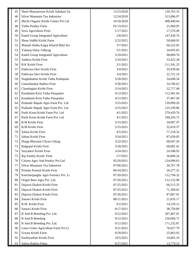| 45 | Shree Mansarowar Krishi Sahakari Sa | 12/23/2020 | 139,763.33 |
|----|-------------------------------------|------------|------------|
| 46 | Silvar Mountain Tea Industries      | 12/24/2020 | 313,086.97 |
| 47 | Mechi Organic Krishi Center Pvt Ltd | 10/16/2020 | 408,448.64 |
| 48 | Tirtha Poultry Farm                 | 01/13/2021 | 21,960.95  |
| 49 | Sova Agriculture Firm               | 1/17/2021  | 17,579.49  |
| 50 | Kattel Group Integrated Agriculture | 2/8/2021   | 147,430.74 |
| 51 | Shree Siddhi Krishi Farm            | 2/22/2021  | 50,068.92  |
| 52 | Mainali Hatha Kagaj Kharid Bikri Ke | 3/7/2021   | 66,522.02  |
| 53 | Yubaraj Dairy Udhyog                | 3/1/2021   | 34,093.83  |
| 54 | Kattel Group Integrated Agriculture | 3/10/2021  | 98,869.76  |
| 55 | Aaditya Krishi Firm                 | 2/24/2021  | 33,422.28  |
| 56 | <b>B.K Krishi Firm</b>              | 3/1/2021   | 111,341.25 |
| 57 | Pathivara Devi Krishi Firm          | 3/4/2021   | 35,939.46  |
| 58 | Pathivara Devi Krishi Firm          | 3/4/2021   | 22,721.14  |
| 59 | Singhabahini Krishi Tatha Pashupala | 3/18/2021  | 34,049.54  |
| 60 | Gaurishankar Bakhra Firm            | 3/28/2021  | 34,706.63  |
| 61 | Chamlagain Krishi Firm              | 3/14/2021  | 22,717.48  |
| 62 | Kundalani Krisi Tatha Pasupalan     | 4/12/2021  | 112,581.64 |
| 63 | Kundalani Krisi Tatha Pasupalan     | 4/12/2021  | 37,467.94  |
| 64 | Prabashi Jhapali Agro Farm Pvt. Ltd | 3/25/2021  | 139,099.26 |
| 65 | Prabashi Jhapali Agro Farm Pvt. Ltd | 3/25/2021  | 125,199.86 |
| 66 | Purbi Kiran Krishi Farm Pvt. Ltd    | 4/1/2021   | 279,429.76 |
| 67 | Purbi Kiran Krishi Farm Pvt. Ltd    | 4/1/2021   | 100,203.72 |
| 68 | <b>B.M Krishi Firm</b>              | 3/15/2021  | 50,007.47  |
| 69 | <b>B.M Krishi Firm</b>              | 3/15/2021  | 32,810.37  |
| 70 | Salina Krishi Firm                  | 4/5/2021   | 77,318.32  |
| 71 | Salina Krishi Firm                  | 3/24/2021  | 87,039.05  |
| 72 | Durga Bhawani Chyau Udyog           | 3/22/2021  | 68,047.26  |
| 73 | Balgopal Krishi Firm                | 3/18/2021  | 68,081.41  |
| 74 | Suryadevi Krishi Firm               | 3/24/2021  | 24,508.92  |
| 75 | Raj Family Krishi Firm              | 5/7/2021   | 36,890.24  |
| 76 | Citizen Agro And Poultry Pvt.Ltd    | 05/20/2021 | 124,999.63 |
| 77 | Silvar Mountain Tea Industries      | 07/06/2021 | 30,767.78  |
| 78 | Prinsha Pranish Krishi Firm         | 06/24/2021 | 20,277.25  |
| 79 | Kanchanjangha Agro Forestry Pvt. Lt | 07/20/2021 | 112,794.32 |
| 80 | Origin Bees Agro Pvt. Ltd.          | 07/26/2021 | 112,152.90 |
| 81 | Dajuvai Ekakrit Krishi Firm         | 07/25/2021 | 66,515.33  |
| 82 | Dajuvai Ekakrit Krishi Firm         | 07/25/2021 | 71,300.92  |
| 83 | Dajuvai Ekakrit Krishi Firm         | 07/26/2021 | 87,807.91  |
| 84 | Sanawi Krishi Firm                  | 08/11/2021 | 21,835.17  |
| 85 | B.M. Krishi Firm                    | 9/2/2021   | 14,529.12  |
| 86 | Sanawi Krishi Firm                  | 8/17/2021  | 38,758.89  |
| 87 | B And B Breeding Pvt. Ltd.          | 9/12/2021  | 207,407.01 |
| 88 | <b>B</b> And <b>B</b> Breeding      | 9/12/2021  | 150,064.71 |
| 89 | B And B Breeding Pvt. Ltd.          | 9/12/2021  | 171,232.87 |
| 90 | Lotus Green Agriculture Farm Pvt Lt | 9/21/2021  | 76,027.79  |
| 91 | Uryara Krishi Farm                  | 9/20/2021  | 25,863.92  |
| 92 | Kushiyarbari Krishi Firm            | 10/5/2021  | 19,665.10  |
| 93 | Salina Bakhra Palan                 | 9/27/2021  | 13,779.33  |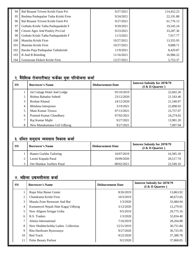| 94  | Bal Bisauni Triveni Krishi Farm Pvt | 9/27/2021  | 114,452.23 |
|-----|-------------------------------------|------------|------------|
| 95  | Reshma Pashupalan Tatha Krishi Firm | 9/24/2021  | 22,191.88  |
| 96  | Bal Bisauni Triveni Krishi Farm Pvt | 9/27/2021  | 61,776.13  |
| 97  | Gothalo Krishi Tatha Pashupankshi F | 9/20/2021  | 19,545.24  |
| 98  | Citizen Agro And Poultry Pvt.Ltd    | 9/23/2021  | 33,287.36  |
| 99  | Gothalo Krishi Tatha Pashupankshi F | 11/3/2021  | 7,917.77   |
| 100 | Manisha Krishi Firm                 | 10/27/2021 | 13,355.95  |
| 101 | Manisha Krishi Firm                 | 10/27/2021 | 9,808.71   |
| 102 | Barsha Puja Pashupalan Tathakrishi  | 11/9/2021  | 8,429.87   |
| 103 | <b>B</b> And <b>B</b> Breeding      | 11/16/2021 | 16,986.22  |
| 104 | Greenzone Ekikrit Krishi Firm       | 12/27/2021 | 5,753.37   |

## २. वैदेशिक रोजगारीबाट फर्केका युवा परियोजना कर्जा

| <b>SN</b>      | <b>Borrower's Name</b>      | <b>Disbursement Date</b> | <b>Interest Subsidy for 2078/79</b><br>$(I & II$ Quarter) |
|----------------|-----------------------------|--------------------------|-----------------------------------------------------------|
|                | Jal Cottage Hotel And Lodge | 05/10/2019               | 22,602.26                                                 |
| 2              | Bishnu Bahadur Subedi       | 23/12/2020               | 21,543.46                                                 |
| 3              | Roshan Khanal               | 24/12/2020               | 21,540.07                                                 |
| $\overline{4}$ | Bhishma Interprises         | 3/19/2021                | 22,898.92                                                 |
| 5              | Mani Kumar Tiruwa           | 07/13/2021               | 23,757.07                                                 |
| 6              | Pramod Kumar Chaudhary      | 07/02/2021               | 24,274.02                                                 |
| $\mathcal{L}$  | Raj Kumar Majhi             | 9/27/2021                | 13,981.20                                                 |
| 8              | New Manakamana Gril Udhyog  | 9/27/2021                | 7,097.94                                                  |

## <u>३. दलित समुदाय व्यवसाय विकास कर्जा</u>

| <b>SN</b> | <b>Borrower's Name</b>    | <b>Disbursement Date</b> | <b>Interest Subsidy for 2078/79</b><br>$(I & II$ Quarter) |
|-----------|---------------------------|--------------------------|-----------------------------------------------------------|
|           | Hamro Gorkha Tailoring    | 16/07/2019               | 16,585.18                                                 |
|           | Laxmi Kapada Pasal        | 18/09/2020               | 20.517.74                                                 |
|           | Om Shankar Jwellers Pasal | 08/02/2021               | 22,549.10                                                 |

## $\times$  महिला उद्यमशीलता कर्जा

| <b>SN</b> | <b>Borrower's Name</b>             | <b>Disbursement Date</b> | <b>Interest Subsidy for 2078/79</b><br>$(I & II$ Quarter) |
|-----------|------------------------------------|--------------------------|-----------------------------------------------------------|
|           | Rupa Silai Bunai Center            | 8/26/2019                | 13,863.92                                                 |
| 2         | Chandrama Krishi Firm              | 10/3/2019                | 40,672.65                                                 |
| 3         | Masala Zone Resturant And Bar      | 1/3/2020                 | 33,484.94                                                 |
| 4         | Kumaneyol Nepali Hate Kagaj Udhyog | 3/12/2020                | 12,279.91                                                 |
| 5         | New Aligens Sringar Griha          | 9/5/2019                 | 29,775.16                                                 |
| 6         | R.S. Traders                       | 1/3/2020                 | 32,834.40                                                 |
| 7         | Almira International               | 7/16/2019                | 28,204.88                                                 |
| 8         | New Shubhechchha Ladies Collection | 12/31/2019               | 30,751.84                                                 |
| 9         | Rita Hardware Byawasaya            | 9/27/2020                | 36,725.95                                                 |
| 10        | <b>Red Track</b>                   | 9/22/2020                | 37,380.78                                                 |
| 11        | <b>Pulse Beauty Parlour</b>        | 9/2/2020                 | 37,868.05                                                 |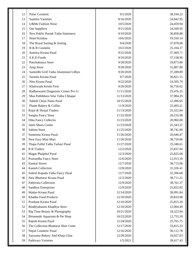| Pulse Cosmetic<br>12<br>9/2/2020<br>8/16/2020<br>13<br><b>Sumitra Varieties</b><br>U&Me Fashion Wear<br>10/5/2020<br>14<br>15<br>Om Suppliers<br>9/21/2020<br>New Public Pustak Tatha Stationery<br>9/10/2020<br>16<br>Hotel Krishna<br>17<br>10/6/2020<br>9/4/2020<br>18<br>The Royal Sorting & Suiting<br>B & B Cosmetic<br>19<br>10/2/2020<br>Sumitra Kirana Pasal<br>20<br>9/22/2020<br>S.K.D Foods<br>21<br>9/10/2020<br>22<br>Panchakanya Store<br>9/28/2020<br>23<br>Arup Store<br>9/28/2020<br>24<br>Samridhi Grill Tatha Aluminum Udhyo<br>9/20/2020 | 38,104.22<br>24,842.95<br>24,459.94<br>24,500.05<br>36,858.88<br>19,550.14<br>37,878.08<br>25,104.37<br>37,469.71<br>37,158.96 |
|---------------------------------------------------------------------------------------------------------------------------------------------------------------------------------------------------------------------------------------------------------------------------------------------------------------------------------------------------------------------------------------------------------------------------------------------------------------------------------------------------------------------------------------------------------------|--------------------------------------------------------------------------------------------------------------------------------|
|                                                                                                                                                                                                                                                                                                                                                                                                                                                                                                                                                               |                                                                                                                                |
|                                                                                                                                                                                                                                                                                                                                                                                                                                                                                                                                                               |                                                                                                                                |
|                                                                                                                                                                                                                                                                                                                                                                                                                                                                                                                                                               |                                                                                                                                |
|                                                                                                                                                                                                                                                                                                                                                                                                                                                                                                                                                               |                                                                                                                                |
|                                                                                                                                                                                                                                                                                                                                                                                                                                                                                                                                                               |                                                                                                                                |
|                                                                                                                                                                                                                                                                                                                                                                                                                                                                                                                                                               |                                                                                                                                |
|                                                                                                                                                                                                                                                                                                                                                                                                                                                                                                                                                               |                                                                                                                                |
|                                                                                                                                                                                                                                                                                                                                                                                                                                                                                                                                                               |                                                                                                                                |
|                                                                                                                                                                                                                                                                                                                                                                                                                                                                                                                                                               |                                                                                                                                |
|                                                                                                                                                                                                                                                                                                                                                                                                                                                                                                                                                               |                                                                                                                                |
|                                                                                                                                                                                                                                                                                                                                                                                                                                                                                                                                                               | 29,873.86                                                                                                                      |
|                                                                                                                                                                                                                                                                                                                                                                                                                                                                                                                                                               | 31,807.00                                                                                                                      |
|                                                                                                                                                                                                                                                                                                                                                                                                                                                                                                                                                               | 37,289.89                                                                                                                      |
| 25<br>Sarmila Kirana Pasal<br>9/7/2020                                                                                                                                                                                                                                                                                                                                                                                                                                                                                                                        | 36,821.15                                                                                                                      |
| Nitu Kirana Pasal<br>26<br>9/22/2020                                                                                                                                                                                                                                                                                                                                                                                                                                                                                                                          | 24,505.70                                                                                                                      |
| 27<br>Khatiwada Krishi Firm<br>9/20/2020                                                                                                                                                                                                                                                                                                                                                                                                                                                                                                                      | 36,756.62                                                                                                                      |
| 28<br>Radhaswami Diagnostic Center Pvt Lt<br>11/11/2020                                                                                                                                                                                                                                                                                                                                                                                                                                                                                                       | 25,476.25                                                                                                                      |
| 29<br>Maa Pathibhara Silai Tatha Chhapai<br>11/13/2020                                                                                                                                                                                                                                                                                                                                                                                                                                                                                                        | 37,984.29                                                                                                                      |
| 30<br>Subedi Chiya Nasta Pasal<br>10/15/2020                                                                                                                                                                                                                                                                                                                                                                                                                                                                                                                  | 12,496.65                                                                                                                      |
| 31<br>Planet Bakery & Coffee<br>11/9/2020                                                                                                                                                                                                                                                                                                                                                                                                                                                                                                                     | 25,493.21                                                                                                                      |
| 32<br>Rojal & Shrijal Traders<br>11/13/2020                                                                                                                                                                                                                                                                                                                                                                                                                                                                                                                   | 25,322.84                                                                                                                      |
| 33<br>Sangita Fancy Store<br>11/22/2020                                                                                                                                                                                                                                                                                                                                                                                                                                                                                                                       | 20,235.98                                                                                                                      |
| 34<br>Dika Fancy Collectio<br>11/23/2020                                                                                                                                                                                                                                                                                                                                                                                                                                                                                                                      | 20,960.00                                                                                                                      |
| 35<br>Jateli Shoes Centre<br>11/23/2020                                                                                                                                                                                                                                                                                                                                                                                                                                                                                                                       | 25,343.37                                                                                                                      |
| Sabitra Store<br>36<br>11/25/2020                                                                                                                                                                                                                                                                                                                                                                                                                                                                                                                             | 38,741.00                                                                                                                      |
| Sumnima Kirana Pasal<br>37<br>11/26/2020                                                                                                                                                                                                                                                                                                                                                                                                                                                                                                                      | 20,646.47                                                                                                                      |
| 38<br>New Easy Mini Mart<br>11/26/2020                                                                                                                                                                                                                                                                                                                                                                                                                                                                                                                        | 38,759.06                                                                                                                      |
| 39<br>Thapa Falful Tatha Tarkari Pasal<br>11/27/2020                                                                                                                                                                                                                                                                                                                                                                                                                                                                                                          | 25,346.61                                                                                                                      |
| 40<br><b>R</b> R Traders<br>12/2/2020                                                                                                                                                                                                                                                                                                                                                                                                                                                                                                                         | 25,837.04                                                                                                                      |
| Magar Phalphul Pasal<br>12/3/2020<br>41                                                                                                                                                                                                                                                                                                                                                                                                                                                                                                                       | 25,825.68                                                                                                                      |
| 42<br>Prawardha Fancy Store<br>12/6/2020                                                                                                                                                                                                                                                                                                                                                                                                                                                                                                                      | 12,913.18                                                                                                                      |
| Kankai Stores<br>43<br>12/7/2020                                                                                                                                                                                                                                                                                                                                                                                                                                                                                                                              | 38,715.06                                                                                                                      |
| Kanish Collection<br>44<br>12/8/2020                                                                                                                                                                                                                                                                                                                                                                                                                                                                                                                          | 31,326.41                                                                                                                      |
| 45<br>Sukriti Kapada Tatha Fancy Pasal<br>12/7/2020                                                                                                                                                                                                                                                                                                                                                                                                                                                                                                           | 32,396.68                                                                                                                      |
| New Bhattarai Kirana Pasal<br>12/2/2020<br>46                                                                                                                                                                                                                                                                                                                                                                                                                                                                                                                 | 38,711.21                                                                                                                      |
| Pathivara Collection<br>47<br>12/9/2020                                                                                                                                                                                                                                                                                                                                                                                                                                                                                                                       | 38,761.37                                                                                                                      |
| Sandhya Enterprises<br>48<br>12/9/2020                                                                                                                                                                                                                                                                                                                                                                                                                                                                                                                        | 25,822.82                                                                                                                      |
| Madan Kirana Pasal<br>49<br>12/14/2020                                                                                                                                                                                                                                                                                                                                                                                                                                                                                                                        | 30,991.84                                                                                                                      |
| Khadka Food Products<br>50<br>12/10/2020                                                                                                                                                                                                                                                                                                                                                                                                                                                                                                                      | 20,833.08                                                                                                                      |
| Prashant Kirana Pasal<br>51<br>12/10/2020                                                                                                                                                                                                                                                                                                                                                                                                                                                                                                                     | 25,815.20                                                                                                                      |
| Bindhyabasini Khadhya Store<br>52<br>12/10/2020                                                                                                                                                                                                                                                                                                                                                                                                                                                                                                               | 12,904.49                                                                                                                      |
| 53<br>Big Time Beauty & Photography<br>10/21/2020                                                                                                                                                                                                                                                                                                                                                                                                                                                                                                             | 18,322.84                                                                                                                      |
| Birtamode Aquarium & Pet Shop<br>54<br>10/22/2020                                                                                                                                                                                                                                                                                                                                                                                                                                                                                                             | 12,755.59                                                                                                                      |
| Rajesh Kirana Pasal<br>55<br>12/24/2020                                                                                                                                                                                                                                                                                                                                                                                                                                                                                                                       | 25,765.75                                                                                                                      |
| The Collection Bhattarai Shoe Cente<br>56<br>12/17/2020                                                                                                                                                                                                                                                                                                                                                                                                                                                                                                       | 33,815.33                                                                                                                      |
| Nepal Cosmetic Pasal<br>57<br>12/16/2020                                                                                                                                                                                                                                                                                                                                                                                                                                                                                                                      | 36,112.78                                                                                                                      |
| 58<br>Aayusma Bakery And Khaja Ghar<br>12/28/2020                                                                                                                                                                                                                                                                                                                                                                                                                                                                                                             | 18,027.03                                                                                                                      |
| Pathivara Varieties<br>1/5/2021<br>59<br>39,417.43                                                                                                                                                                                                                                                                                                                                                                                                                                                                                                            |                                                                                                                                |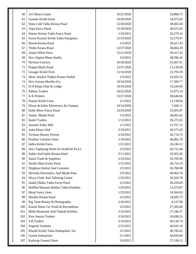| Avi Shoes Center<br>10/21/2020<br>60<br>Gautam Krishi Farm<br>10/20/2020<br>61<br>Sima Cold Tatha Kirana Pasal<br>62<br>12/20/2020<br>63<br>Anju Fancy Pasal<br>12/18/2020<br>Hamro Kirana Tatha Fancy Pasal<br>1/10/2021<br>64<br>65<br>Karna Kumari Krishi Tatha Pasupalan<br>12/23/2020<br><b>Bisesh Kirana Pasal</b><br>1/3/2021<br>66<br>Thebe Kirana Pasal<br>67<br>12/27/2020<br><b>Janata Offset Press</b><br>68<br>12/21/2020<br>69<br>New Digital Photo Studio<br>1/6/2021<br>10/20/2020<br>70<br>Nirvhan Grocery<br>Pragati Bijuli Pasal<br>71<br>12/27/2020<br>Guragai Krishi Firm<br>72<br>12/16/2020<br>Shree Anukul Thakur Kirana Pashal<br>73<br>1/3/2021<br>74<br>New Suman Machha Fry<br>10/14/2020<br>75<br>D D Khaja Ghar & Lodge<br>10/16/2020<br>Pabitra Traders<br>76<br>10/22/2020<br><b>K.K Printers</b><br>77<br>12/27/2020 |           |
|-------------------------------------------------------------------------------------------------------------------------------------------------------------------------------------------------------------------------------------------------------------------------------------------------------------------------------------------------------------------------------------------------------------------------------------------------------------------------------------------------------------------------------------------------------------------------------------------------------------------------------------------------------------------------------------------------------------------------------------------------------------------------------------------------------------------------------------------------------|-----------|
|                                                                                                                                                                                                                                                                                                                                                                                                                                                                                                                                                                                                                                                                                                                                                                                                                                                       | 24,968.75 |
|                                                                                                                                                                                                                                                                                                                                                                                                                                                                                                                                                                                                                                                                                                                                                                                                                                                       | 24,972.82 |
|                                                                                                                                                                                                                                                                                                                                                                                                                                                                                                                                                                                                                                                                                                                                                                                                                                                       | 38,665.64 |
|                                                                                                                                                                                                                                                                                                                                                                                                                                                                                                                                                                                                                                                                                                                                                                                                                                                       | 38,675.03 |
|                                                                                                                                                                                                                                                                                                                                                                                                                                                                                                                                                                                                                                                                                                                                                                                                                                                       | 26,279.16 |
|                                                                                                                                                                                                                                                                                                                                                                                                                                                                                                                                                                                                                                                                                                                                                                                                                                                       | 32,270.47 |
|                                                                                                                                                                                                                                                                                                                                                                                                                                                                                                                                                                                                                                                                                                                                                                                                                                                       | 39,417.43 |
|                                                                                                                                                                                                                                                                                                                                                                                                                                                                                                                                                                                                                                                                                                                                                                                                                                                       | 38,664.39 |
|                                                                                                                                                                                                                                                                                                                                                                                                                                                                                                                                                                                                                                                                                                                                                                                                                                                       | 39,417.43 |
|                                                                                                                                                                                                                                                                                                                                                                                                                                                                                                                                                                                                                                                                                                                                                                                                                                                       | 38,596.45 |
|                                                                                                                                                                                                                                                                                                                                                                                                                                                                                                                                                                                                                                                                                                                                                                                                                                                       | 25,407.01 |
|                                                                                                                                                                                                                                                                                                                                                                                                                                                                                                                                                                                                                                                                                                                                                                                                                                                       | 13,138.94 |
|                                                                                                                                                                                                                                                                                                                                                                                                                                                                                                                                                                                                                                                                                                                                                                                                                                                       | 25,793.59 |
|                                                                                                                                                                                                                                                                                                                                                                                                                                                                                                                                                                                                                                                                                                                                                                                                                                                       | 23,650.32 |
|                                                                                                                                                                                                                                                                                                                                                                                                                                                                                                                                                                                                                                                                                                                                                                                                                                                       | 17,500.77 |
|                                                                                                                                                                                                                                                                                                                                                                                                                                                                                                                                                                                                                                                                                                                                                                                                                                                       | 16,244.06 |
|                                                                                                                                                                                                                                                                                                                                                                                                                                                                                                                                                                                                                                                                                                                                                                                                                                                       | 25,073.14 |
|                                                                                                                                                                                                                                                                                                                                                                                                                                                                                                                                                                                                                                                                                                                                                                                                                                                       | 38,646.66 |
| Punam Krishi Farm<br>78<br>1/1/2021                                                                                                                                                                                                                                                                                                                                                                                                                                                                                                                                                                                                                                                                                                                                                                                                                   | 13,138.94 |
| 79<br>Diwas & Kabir Electronics Ka Sampur<br>10/14/2020                                                                                                                                                                                                                                                                                                                                                                                                                                                                                                                                                                                                                                                                                                                                                                                               | 7,500.11  |
| 80<br>Kafle Shree Fancy Pasal<br>12/24/2020                                                                                                                                                                                                                                                                                                                                                                                                                                                                                                                                                                                                                                                                                                                                                                                                           | 25,855.07 |
| Saskar Bhada Pasal<br>81<br>1/3/2021                                                                                                                                                                                                                                                                                                                                                                                                                                                                                                                                                                                                                                                                                                                                                                                                                  | 38,602.65 |
| <b>Kattel Traders</b><br>82<br>1/12/2021                                                                                                                                                                                                                                                                                                                                                                                                                                                                                                                                                                                                                                                                                                                                                                                                              | 26,272.65 |
| 83<br>Anamol Seller Mill<br>1/1/2021                                                                                                                                                                                                                                                                                                                                                                                                                                                                                                                                                                                                                                                                                                                                                                                                                  | 15,767.12 |
| 2/10/2021<br>84<br>Janta Khaja Ghar                                                                                                                                                                                                                                                                                                                                                                                                                                                                                                                                                                                                                                                                                                                                                                                                                   | 40,275.05 |
| 85<br>Archana Beauty Parlour<br>2/10/2021                                                                                                                                                                                                                                                                                                                                                                                                                                                                                                                                                                                                                                                                                                                                                                                                             | 26,714.75 |
| Prashna Varieties Store<br>86<br>2/10/2021                                                                                                                                                                                                                                                                                                                                                                                                                                                                                                                                                                                                                                                                                                                                                                                                            | 40,062.70 |
| 87<br>Indira Krishi Farm<br>1/21/2021                                                                                                                                                                                                                                                                                                                                                                                                                                                                                                                                                                                                                                                                                                                                                                                                                 | 26,246.12 |
| 88<br>2/3/2021<br>New Taplejung Hotel Se.Gh.&Om Pa.Lo                                                                                                                                                                                                                                                                                                                                                                                                                                                                                                                                                                                                                                                                                                                                                                                                 | 26,712.48 |
| Nabin And Sabin Kirana Pasal<br>2/11/2021<br>89                                                                                                                                                                                                                                                                                                                                                                                                                                                                                                                                                                                                                                                                                                                                                                                                       | 32,055.95 |
| 90<br>2/10/2021<br>Satasi Trade & Suppliers                                                                                                                                                                                                                                                                                                                                                                                                                                                                                                                                                                                                                                                                                                                                                                                                           | 26,769.46 |
| Surabi Dhan Kanta Pasal<br>91<br>1/31/2021                                                                                                                                                                                                                                                                                                                                                                                                                                                                                                                                                                                                                                                                                                                                                                                                            | 26,714.10 |
| 92<br>Dirghayu Herbal And Cosmetic<br>2/3/2021                                                                                                                                                                                                                                                                                                                                                                                                                                                                                                                                                                                                                                                                                                                                                                                                        | 26,708.88 |
| 93<br>Shrestha Electronics And Bhada Pasa<br>2/9/2021                                                                                                                                                                                                                                                                                                                                                                                                                                                                                                                                                                                                                                                                                                                                                                                                 | 40,062.70 |
| Divya Cloth And Talloring Centre<br>1/25/2021<br>94                                                                                                                                                                                                                                                                                                                                                                                                                                                                                                                                                                                                                                                                                                                                                                                                   | 26,260.78 |
| 95<br>Jaateli Dhaka Tatha Facny Pasal<br>2/2/2021                                                                                                                                                                                                                                                                                                                                                                                                                                                                                                                                                                                                                                                                                                                                                                                                     | 26,259.83 |
| Mallika Mausam Bakhra Tatha Khukhur<br>1/29/2021<br>96                                                                                                                                                                                                                                                                                                                                                                                                                                                                                                                                                                                                                                                                                                                                                                                                | 13,374.87 |
| 97<br>Miraj Fancy Store<br>1/25/2021                                                                                                                                                                                                                                                                                                                                                                                                                                                                                                                                                                                                                                                                                                                                                                                                                  | 18,366.03 |
| Monika Kirana Pasal<br>98<br>2/2/2021                                                                                                                                                                                                                                                                                                                                                                                                                                                                                                                                                                                                                                                                                                                                                                                                                 | 18,695.73 |
| Big Time Beauty & Photography<br>99<br>2/26/2021                                                                                                                                                                                                                                                                                                                                                                                                                                                                                                                                                                                                                                                                                                                                                                                                      | 8,157.90  |
| Kamal Shree Car Wash & Recondition<br>3/2/2021<br>100                                                                                                                                                                                                                                                                                                                                                                                                                                                                                                                                                                                                                                                                                                                                                                                                 | 27,205.60 |
| 101<br>Mitho Resturent And Thakali Kitchen<br>2/16/2021                                                                                                                                                                                                                                                                                                                                                                                                                                                                                                                                                                                                                                                                                                                                                                                               | 27,246.27 |
| New Saurya Traders<br>2/16/2021<br>102                                                                                                                                                                                                                                                                                                                                                                                                                                                                                                                                                                                                                                                                                                                                                                                                                | 26,698.31 |
| S.R.Traders<br>103<br>2/16/2021                                                                                                                                                                                                                                                                                                                                                                                                                                                                                                                                                                                                                                                                                                                                                                                                                       | 40,136.74 |
| 104<br><b>Nagarik Varieties</b><br>2/22/2021                                                                                                                                                                                                                                                                                                                                                                                                                                                                                                                                                                                                                                                                                                                                                                                                          | 40,033.19 |
| 105<br>Khushi Krishi Tatha Pashupalan Far<br>3/1/2021                                                                                                                                                                                                                                                                                                                                                                                                                                                                                                                                                                                                                                                                                                                                                                                                 | 40,785.62 |
| <b>Garnet Enterprises</b><br>106<br>3/1/2021                                                                                                                                                                                                                                                                                                                                                                                                                                                                                                                                                                                                                                                                                                                                                                                                          | 40,820.60 |
| 107<br>Kashyap General Store<br>3/4/2021                                                                                                                                                                                                                                                                                                                                                                                                                                                                                                                                                                                                                                                                                                                                                                                                              | 27,190.15 |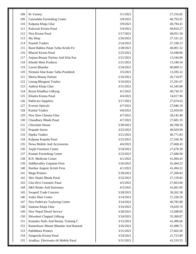| 108 | <b>Rr</b> Variety                   | 3/1/2021  | 27,316.85 |
|-----|-------------------------------------|-----------|-----------|
| 109 | Gauradaha Furnishing Center         | 3/9/2021  | 40,793.91 |
| 110 | Kalpana Khaja Ghar                  | 3/9/2021  | 40,794.41 |
| 111 | Kalawati Kirana Pasal               | 3/4/2021  | 40,824.27 |
| 112 | Nira Kirana Pasal                   | 2/17/2021 | 40,051.50 |
| 113 | My Shop                             | 2/26/2021 | 27,331.22 |
| 114 | <b>Pranish Traders</b>              | 2/24/2021 | 27,190.15 |
| 115 | Baral Bakhra Palan Tatha Krishi Fir | 2/28/2021 | 40,001.52 |
| 116 | Bharati Kirana Pasal                | 2/25/2021 | 32,048.86 |
| 117 | Anjana Beauty Parlour And Silai Kat | 2/21/2021 | 13,344.00 |
| 118 | Khushi Meat Products                | 2/21/2021 | 13,340.54 |
| 119 | Laxmi Bhandar                       | 2/24/2021 | 40,009.11 |
| 120 | Nirmala Silai Katai Tatha Prashiksh | 3/5/2021  | 13,595.52 |
| 121 | Meera Beauty Parlour                | 2/16/2021 | 26,710.97 |
| 122 | Letang Bhogtani Traders             | 3/10/2021 | 27,291.67 |
| 123 | Aathrai Khaja Ghar                  | 3/31/2021 | 41,545.80 |
| 124 | Royal Khadhya Udhyog                | 4/1/2021  | 40,736.32 |
| 125 | Khudra Kirana Pasal                 | 4/4/2021  | 14,017.96 |
| 126 | Pathivara Suppliers                 | 3/17/2021 | 27,674.63 |
| 127 | <b>Everest Opticals</b>             | 4/7/2021  | 27,846.19 |
| 128 | <b>Kushal Traders</b>               | 4/8/2021  | 22,459.69 |
| 129 | New Ilam Chasma Ghar                | 4/7/2021  | 28,145.40 |
| 130 | Chaudhary Bhada Pasal               | 4/7/2021  | 27,681.35 |
| 131 | Chocolate House                     | 3/30/2021 | 40,708.50 |
| 132 | Prapade Stores                      | 3/22/2021 | 40,929.99 |
| 133 | Dipika Traders                      | 3/21/2021 | 40,771.83 |
| 134 | Kalpana Kapada Pasal                | 3/22/2021 | 27,160.36 |
| 135 | Newa Mobile And Accessories         | 4/6/2021  | 27,668.43 |
| 136 | Anjali Furniture Center             | 3/24/2021 | 27,678.28 |
| 137 | Kumari Furnishing Center            | 3/23/2021 | 27,686.90 |
| 138 | R.N. Medicine Center                | 4/1/2021  | 41,494.45 |
| 139 | Siddhavalley Gaipalan Firm          | 3/26/2021 | 41,494.22 |
| 140 | Harihar Arganic Krishi Firm         | 4/1/2021  | 41,494.22 |
| 141 | <b>Mega Printers</b>                | 3/18/2021 | 27,200.83 |
| 142 | Shiv Shakti Bhada Pasal             | 3/22/2021 | 27,159.85 |
| 143 | Gita Devi Cosmetic Pasal            | 4/5/2021  | 27,663.06 |
| 144 | S&S Books And Stationary            | 4/2/2021  | 41,601.85 |
| 145 | Swapnil Trade Concern               | 3/28/2021 | 30,262.58 |
| 146 | Asika Shoe Center                   | 3/14/2021 | 27,228.59 |
| 147 | New Pathivara Tayloring Center      | 3/14/2021 | 40,782.88 |
| 148 | Santona Khaja Ghar                  | 3/16/2021 | 19,029.70 |
| 149 | New Nepal Diesel Service            | 3/28/2021 | 13,588.85 |
| 150 | Shiwakoti Chappal Udhyog            | 3/24/2021 | 35,300.87 |
| 151 | Kamalaz Nails And Beauty Training C | 3/15/2021 | 41,496.66 |
| 152 | Rameshwor Mistan Bhandar And Ramesh | 3/26/2021 | 41,498.71 |
| 153 | Pathibhara Printers                 | 3/31/2021 | 27,662.96 |
| 154 | Sangroula Kirana Pasal              | 3/24/2021 | 21,723.89 |
| 155 | Aradhya Electronics & Mobile Pasal  | 3/31/2021 | 41,533.55 |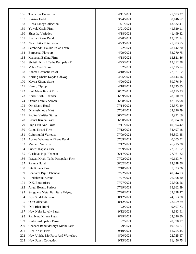| 156 | Thapaliya Dental Lab                | 4/11/2021  | 27,683.27 |
|-----|-------------------------------------|------------|-----------|
| 157 | Raising Hotel                       | 3/24/2021  | 8,146.72  |
| 158 | <b>Richa Fancy Collection</b>       | 4/1/2021   | 13,832.41 |
| 159 | Yuwak Krishi Firm                   | 3/21/2021  | 41,529.11 |
| 160 | Shrestha Varieties                  | 4/18/2021  | 41,499.82 |
| 161 | Jharna Kirana Pasal                 | 4/20/2021  | 13,821.14 |
| 162 | New Jibika Enterprises              | 4/23/2021  | 27,903.75 |
| 163 | Sambriddhi Bakhra Palan Farm        | 5/2/2021   | 28,142.30 |
| 164 | <b>Barpeepal Flavours</b>           | 4/29/2021  | 33,770.75 |
| 165 | Mahakali Bakhra Firm                | 4/18/2021  | 13,821.86 |
| 166 | Shristhi Krishi Tatha Pasupalan Fir | 4/25/2021  | 13,812.38 |
| 167 | Milan Cold Store                    | 5/2/2021   | 27,615.74 |
| 168 | Ashma Cosmetic Pasal                | 4/18/2021  | 27,671.62 |
| 169 | Kerung Dhaka Kapda Udhyog           | 4/25/2021  | 28,144.16 |
| 170 | Kavya Kirana Store                  | 4/20/2021  | 39,976.64 |
| 171 | Hamro Tiptop                        | 4/18/2021  | 13,825.85 |
| 172 | Hari Maya Krishi Firm               | 06/02/2021 | 28,115.23 |
| 173 | Karki Krishi Bhandar                | 06/09/2021 | 28,610.79 |
| 174 | Orchid Family Saloon                | 06/08/2021 | 42,915.98 |
| 175 | Om Shanti Hotel                     | 07/14/2021 | 25,573.49 |
| 176 | Dhanushmode Mart                    | 07/04/2021 | 34,896.79 |
| 177 | Pabitra Varities Stores             | 06/27/2021 | 42,921.69 |
| 178 | <b>Basnet Kirana Pasal</b>          | 06/30/2021 | 38,384.78 |
| 179 | Puja Grill And Truss                | 07/11/2021 | 40,094.42 |
| 180 | Goma Krishi Firm                    | 07/12/2021 | 34,497.18 |
| 181 | Gajurmukhi Varieties                | 07/09/2021 | 36,393.55 |
| 182 | Apsara Wholesale Kirana Pasal       | 07/09/2021 | 40,005.52 |
| 183 | Mainali Varrities                   | 07/12/2021 | 26,715.38 |
| 184 | Subedi Kapada Pasal                 | 07/09/2021 | 22,531.02 |
| 185 | Garibdas Puja Bhandar               | 06/17/2021 | 27,961.82 |
| 186 | Pragati Krishi Tatha Pasupalan Firm | 07/22/2021 | 40,623.74 |
| 187 | Pahuna Hotel                        | 08/02/2021 | 12,848.56 |
| 188 | Sita Kirana Pasal                   | 07/18/2021 | 37,033.36 |
| 189 | Bhattarai Bijuli Bhandar            | 07/22/2021 | 40,644.73 |
| 190 | Bindabasini Kirana                  | 07/27/2021 | 26,008.20 |
| 191 | D.K. Enterprises                    | 07/27/2021 | 25,508.56 |
| 192 | <b>Angel Beauty Parlour</b>         | 07/29/2021 | 18,862.39 |
| 193 | Sangpang Metal Furniture Udyog      | 07/20/2021 | 32,898.47 |
| 194 | Jaya Siddakali Store                | 08/12/2021 | 24,053.88 |
| 195 | Our Collection                      | 08/12/2021 | 22,659.89 |
| 196 | Didi Bhai Hotel                     | 9/2/2021   | 9,407.73  |
| 197 | New Neha Lovely Pasal               | 9/12/2021  | 4,643.91  |
| 198 | Pathivara Kirana Pasal              | 8/29/2021  | 32,346.80 |
| 199 | Karki Pashupalan Farm               | 9/7/2021   | 20,090.17 |
| 200 | Chadani Bahuudeshiya Krishi Farm    | 9/9/2021   | 19,524.67 |
| 201 | Bina Krishi Firm                    | 9/10/2021  | 11,755.45 |
| 202 | New Unisha Mo.Parts And Workshop    | 8/20/2021  | 22,725.67 |
| 203 | New Fancy Collection                | 9/13/2021  | 11,456.75 |
|     |                                     |            |           |